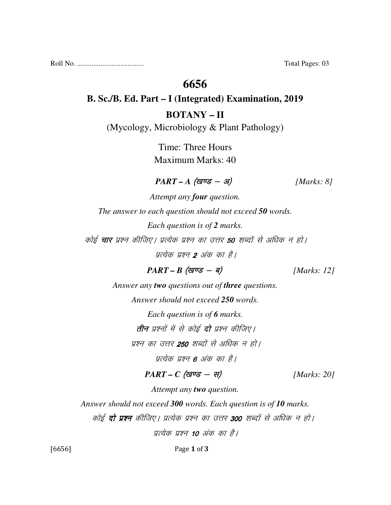Roll No. ..................................... Total Pages: 03

### **6656**

# **B. Sc./B. Ed. Part – I (Integrated) Examination, 2019 BOTANY – II**

(Mycology, Microbiology & Plant Pathology)

Time: Three Hours Maximum Marks: 40

### $PART - A$  (<del>guse - 31</del>) [Marks: 8]

*Attempt any four question. The answer to each question should not exceed 50 words. Each question is of 2 marks.*  कोई **चार** प्रश्न कीजिए। प्रत्येक प्रश्न का उत्तर **50** शब्दों से अधिक न हो। पत्येक प्रश्न 2 अंक का है।

 $PART - B$  (*g* $\vec{v} = -\vec{q}$ ) [*Marks: 12*]

*Answer any two questions out of three questions. Answer should not exceed 250 words. Each question is of 6 marks.*  **तीन** प्रश्नों में से कोई **दो** प्रश्न कीजिए।

प्रश्न का उत्तर **250** शब्दों से अधिक न हो।

प्रत्येक प्रश्न **6** अंक का है।

#### $PART - C$  (खण्ड - स) [Marks: 20]

*Attempt any two question.* 

*Answer should not exceed 300 words. Each question is of 10 marks.* 

कोई **दो प्रश्न** कीजिए। प्रत्येक प्रश्न का उत्तर 300 शब्दों से अधिक न हो।

प्रत्येक प्रश्न 10 अंक का है।

[6656] Page 1 of 3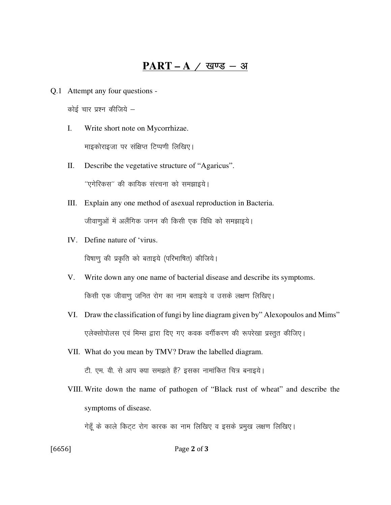### **PART – A**  $\neq$  खण्ड – अ

Q.1 Attempt any four questions -

कोई चार प्रश्न कीजिये $-$ 

I. Write short note on Mycorrhizae.

माइकोराइजा पर संक्षिप्त टिप्पणी लिखिए।

II. Describe the vegetative structure of "Agaricus".

 $^{\prime\prime}$ एगेरिकस $^{\prime\prime}$  की कायिक संरचना को समझाइये।

- III. Explain any one method of asexual reproduction in Bacteria. जीवाणुओं में अलैंगिक जनन की किसी एक विधि को समझाइये।
- IV. Define nature of 'virus.

विषाणु की प्रकृति को बताइये (परिभाषित) कीजिये।

- V. Write down any one name of bacterial disease and describe its symptoms. किसी एक जीवाणु जनित रोग का नाम बताइये व उसके लक्षण लिखिए।
- VI. Draw the classification of fungi by line diagram given by" Alexopoulos and Mims" एलेक्सोपोलस एवं मिम्स द्वारा दिए गए कवक वर्गीकरण की रूपरेखा प्रस्तुत कीजिए।
- VII. What do you mean by TMV? Draw the labelled diagram.

टी. एम. वी. से आप क्या समझते हैं? इसका नामांकित चित्र बनाइये।

 VIII. Write down the name of pathogen of "Black rust of wheat" and describe the symptoms of disease.

गेहूँ के काले किट्ट रोग कारक का नाम लिखिए व इसके प्रमुख लक्षण लिखिए।